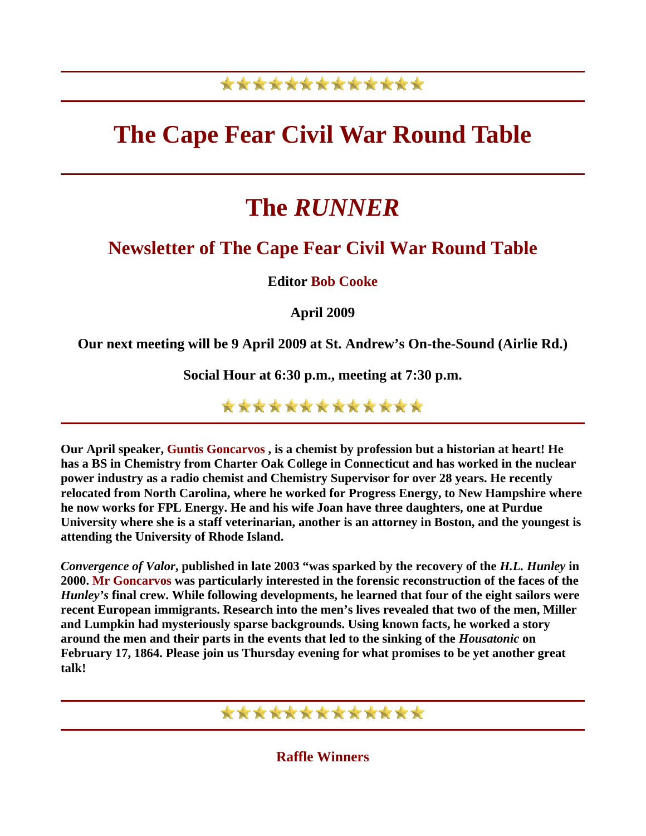## \*\*\*\*\*\*\*\*\*\*\*\*\*

# **The Cape Fear Civil War Round Table**

# **The** *RUNNER*

## **Newsletter of The Cape Fear Civil War Round Table**

**Editor Bob Cooke**

**April 2009** 

**Our next meeting will be 9 April 2009 at St. Andrew's On-the-Sound (Airlie Rd.)** 

**Social Hour at 6:30 p.m., meeting at 7:30 p.m.** 

\*\*\*\*\*\*\*\*\*\*\*\*\*

**Our April speaker, Guntis Goncarvos , is a chemist by profession but a historian at heart! He has a BS in Chemistry from Charter Oak College in Connecticut and has worked in the nuclear power industry as a radio chemist and Chemistry Supervisor for over 28 years. He recently relocated from North Carolina, where he worked for Progress Energy, to New Hampshire where he now works for FPL Energy. He and his wife Joan have three daughters, one at Purdue University where she is a staff veterinarian, another is an attorney in Boston, and the youngest is attending the University of Rhode Island.**

*Convergence of Valor***, published in late 2003 "was sparked by the recovery of the** *H.L. Hunley* **in 2000. Mr Goncarvos was particularly interested in the forensic reconstruction of the faces of the**  *Hunley's* **final crew. While following developments, he learned that four of the eight sailors were recent European immigrants. Research into the men's lives revealed that two of the men, Miller and Lumpkin had mysteriously sparse backgrounds. Using known facts, he worked a story around the men and their parts in the events that led to the sinking of the** *Housatonic* **on February 17, 1864. Please join us Thursday evening for what promises to be yet another great talk!** 

## \*\*\*\*\*\*\*\*\*\*\*\*\*

**Raffle Winners**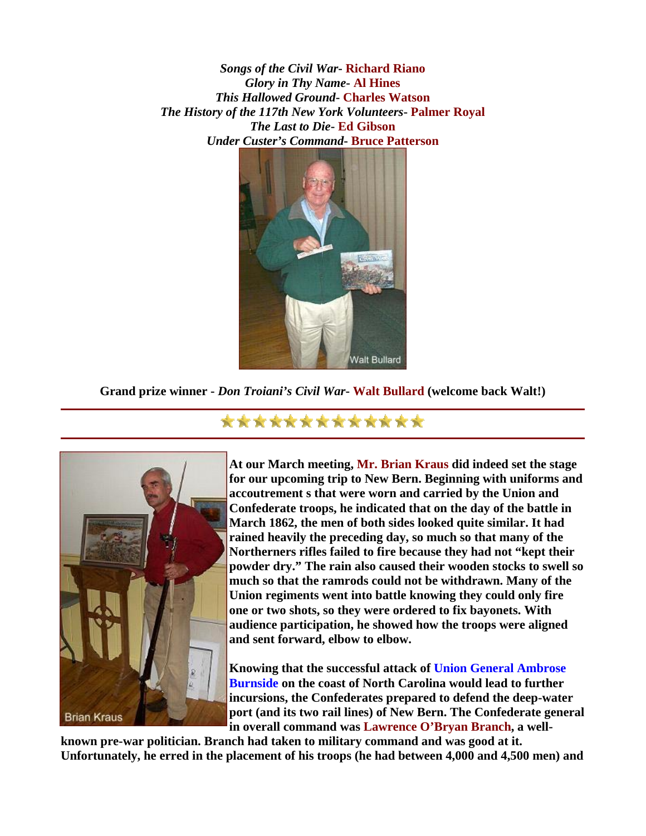*Songs of the Civil War***- Richard Riano** *Glory in Thy Name***- Al Hines** *This Hallowed Ground***- Charles Watson** *The History of the 117th New York Volunteers***- Palmer Royal** *The Last to Die***- Ed Gibson** *Under Custer's Command***- Bruce Patterson**



**Grand prize winner -** *Don Troiani's Civil War***- Walt Bullard (welcome back Walt!)** 



**At our March meeting, Mr. Brian Kraus did indeed set the stage for our upcoming trip to New Bern. Beginning with uniforms and accoutrement s that were worn and carried by the Union and Confederate troops, he indicated that on the day of the battle in March 1862, the men of both sides looked quite similar. It had rained heavily the preceding day, so much so that many of the Northerners rifles failed to fire because they had not "kept their powder dry." The rain also caused their wooden stocks to swell so much so that the ramrods could not be withdrawn. Many of the Union regiments went into battle knowing they could only fire one or two shots, so they were ordered to fix bayonets. With audience participation, he showed how the troops were aligned and sent forward, elbow to elbow.** 

**Knowing that the successful attack of Union General Ambrose Burnside on the coast of North Carolina would lead to further incursions, the Confederates prepared to defend the deep-water port (and its two rail lines) of New Bern. The Confederate g eneral in overall command was Lawrence O'Bryan Branch, a well-**

**known pre-war politician. Branch had taken to military command and was good at it. Unfortunately, he erred in the placement of his troops (he had between 4,000 and 4,500 men) and** 

### \*\*\*\*\*\*\*\*\*\*\*\*\*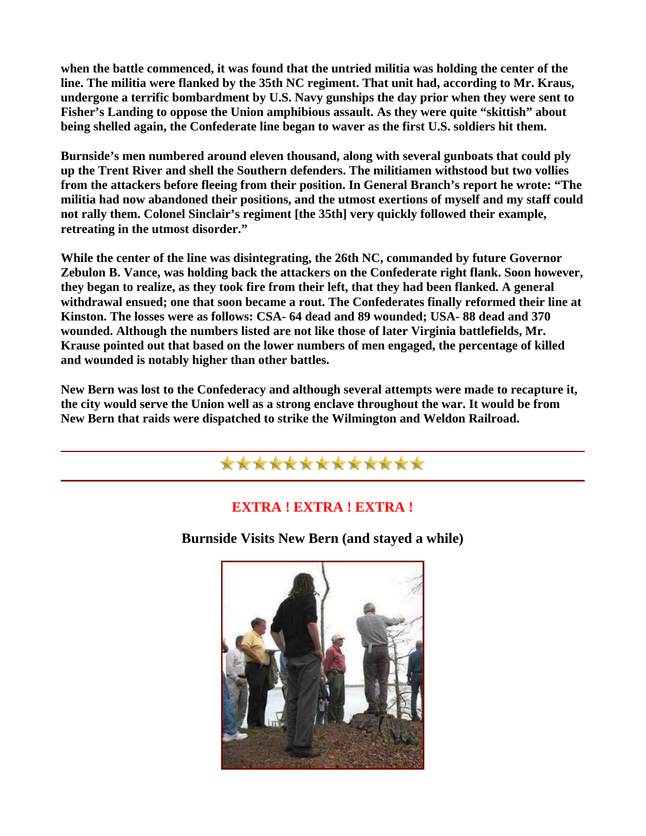**when the battle commenced, it was found that the untried militia was holding the center of the line. The militia were flanked by the 35th NC regiment. That unit had, according to Mr. Kraus, undergone a terrific bombardment by U.S. Navy gunships the day prior when they were sent to Fisher's Landing to oppose the Union amphibious assault. As they were quite "skittish" about being shelled again, the Confederate line began to waver as the first U.S. soldiers hit them.** 

**Burnside's men numbered around eleven thousand, along with several gunboats that could ply up the Trent River and shell the Southern defenders. The militiamen withstood but two vollies from the attackers before fleeing from their position. In General Branch's report he wrote: "The militia had now abandoned their positions, and the utmost exertions of myself and my staff could not rally them. Colonel Sinclair's regiment [the 35th] very quickly followed their example, retreating in the utmost disorder."** 

**While the center of the line was disintegrating, the 26th NC, commanded by future Governor Zebulon B. Vance, was holding back the attackers on the Confederate right flank. Soon however, they began to realize, as they took fire from their left, that they had been flanked. A general withdrawal ensued; one that soon became a rout. The Confederates finally reformed their line at Kinston. The losses were as follows: CSA- 64 dead and 89 wounded; USA- 88 dead and 370 wounded. Although the numbers listed are not like those of later Virginia battlefields, Mr. Krause pointed out that based on the lower numbers of men engaged, the percentage of killed and wounded is notably higher than other battles.** 

**New Bern was lost to the Confederacy and although several attempts were made to recapture it, the city would serve the Union well as a strong enclave throughout the war. It would be from New Bern that raids were dispatched to strike the Wilmington and Weldon Railroad.** 

## \*\*\*\*\*\*\*\*\*\*\*\*\*

### **EXTRA ! EXTRA ! EXTRA !**

**Burnside Visits New Bern (and stayed a while)** 

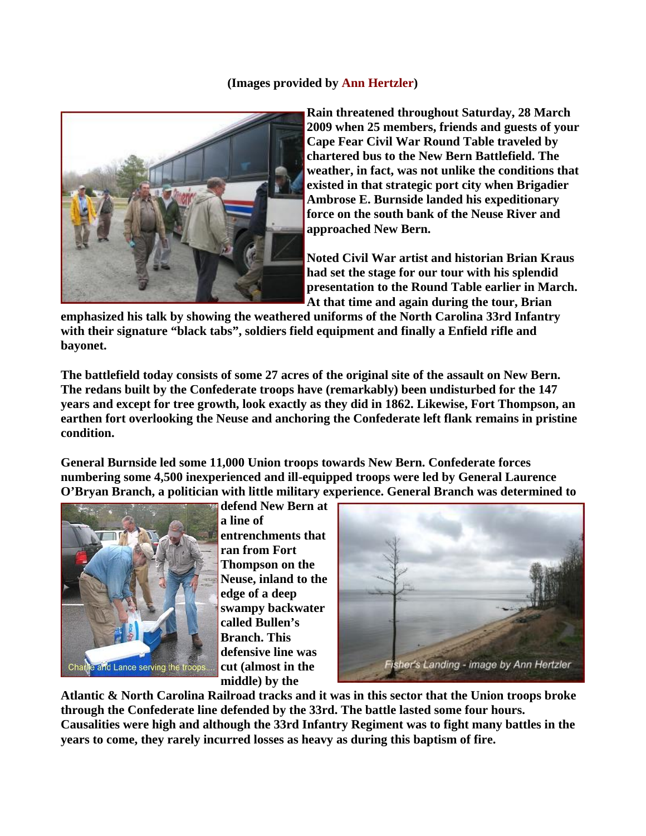#### **(Images provided by Ann Hertzler)**



**Rain threatened throughout Saturday, 28 March 2009 when 25 members, friends and guests of your Cape Fear Civil War Round Table traveled by chartered bus to the New Bern Battlefield. The weather, in fact, was not unlike the conditions that existed in that strategic port city when Brigadier Ambrose E. Burnside landed his expeditionary force on the south bank of the Neuse River and approached New Bern.** 

**Noted Civil War artist and historian Brian Kraus had set the stage for our tour with his splendid presentation to the Round Table earlier in March. At that time and again during the tour, Brian** 

**emphasized his talk by showing the weathered uniforms of the North Carolina 33rd Infantry with their signature "black tabs", soldiers field equipment and finally a Enfield rifle and bayonet.** 

**The battlefield today consists of some 27 acres of the original site of the assault on New Bern. The redans built by the Confederate troops have (remarkably) been undisturbed for the 147 years and except for tree growth, look exactly as they did in 1862. Likewise, Fort Thompson, an earthen fort overlooking the Neuse and anchoring the Confederate left flank remains in pristine condition.** 

**General Burnside led some 11,000 Union troops towards New Bern. Confederate forces numbering some 4,500 inexperienced and ill-equipped troops were led by General Laurence O'Bryan Branch, a politician with little military experience. General Branch was determined to** 



**defend New Bern at a line of entrenchments that ran from Fort Thompson on the Neuse, inland to the edge of a deep swampy backwater called Bullen's Branch. This defensive line was cut (almost in the middle) by the** 



**Atlantic & North Carolina Railroad tracks and it was in this sector that the Union troops broke through the Confederate line defended by the 33rd. The battle lasted some four hours. Causalities were high and although the 33rd Infantry Regiment was to fight many battles in the years to come, they rarely incurred losses as heavy as during this baptism of fire.**